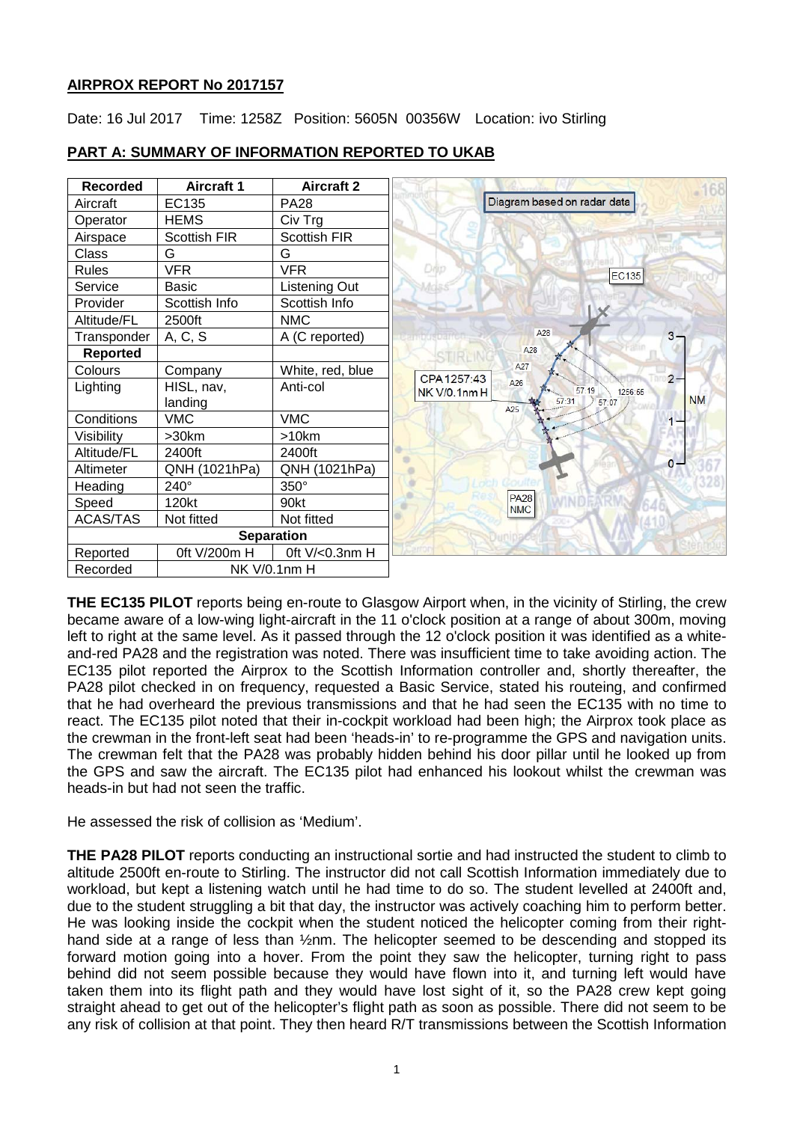# **AIRPROX REPORT No 2017157**

Date: 16 Jul 2017 Time: 1258Z Position: 5605N 00356W Location: ivo Stirling



# **PART A: SUMMARY OF INFORMATION REPORTED TO UKAB**

**THE EC135 PILOT** reports being en-route to Glasgow Airport when, in the vicinity of Stirling, the crew became aware of a low-wing light-aircraft in the 11 o'clock position at a range of about 300m, moving left to right at the same level. As it passed through the 12 o'clock position it was identified as a whiteand-red PA28 and the registration was noted. There was insufficient time to take avoiding action. The EC135 pilot reported the Airprox to the Scottish Information controller and, shortly thereafter, the PA28 pilot checked in on frequency, requested a Basic Service, stated his routeing, and confirmed that he had overheard the previous transmissions and that he had seen the EC135 with no time to react. The EC135 pilot noted that their in-cockpit workload had been high; the Airprox took place as the crewman in the front-left seat had been 'heads-in' to re-programme the GPS and navigation units. The crewman felt that the PA28 was probably hidden behind his door pillar until he looked up from the GPS and saw the aircraft. The EC135 pilot had enhanced his lookout whilst the crewman was heads-in but had not seen the traffic.

He assessed the risk of collision as 'Medium'.

**THE PA28 PILOT** reports conducting an instructional sortie and had instructed the student to climb to altitude 2500ft en-route to Stirling. The instructor did not call Scottish Information immediately due to workload, but kept a listening watch until he had time to do so. The student levelled at 2400ft and, due to the student struggling a bit that day, the instructor was actively coaching him to perform better. He was looking inside the cockpit when the student noticed the helicopter coming from their righthand side at a range of less than 1/2nm. The helicopter seemed to be descending and stopped its forward motion going into a hover. From the point they saw the helicopter, turning right to pass behind did not seem possible because they would have flown into it, and turning left would have taken them into its flight path and they would have lost sight of it, so the PA28 crew kept going straight ahead to get out of the helicopter's flight path as soon as possible. There did not seem to be any risk of collision at that point. They then heard R/T transmissions between the Scottish Information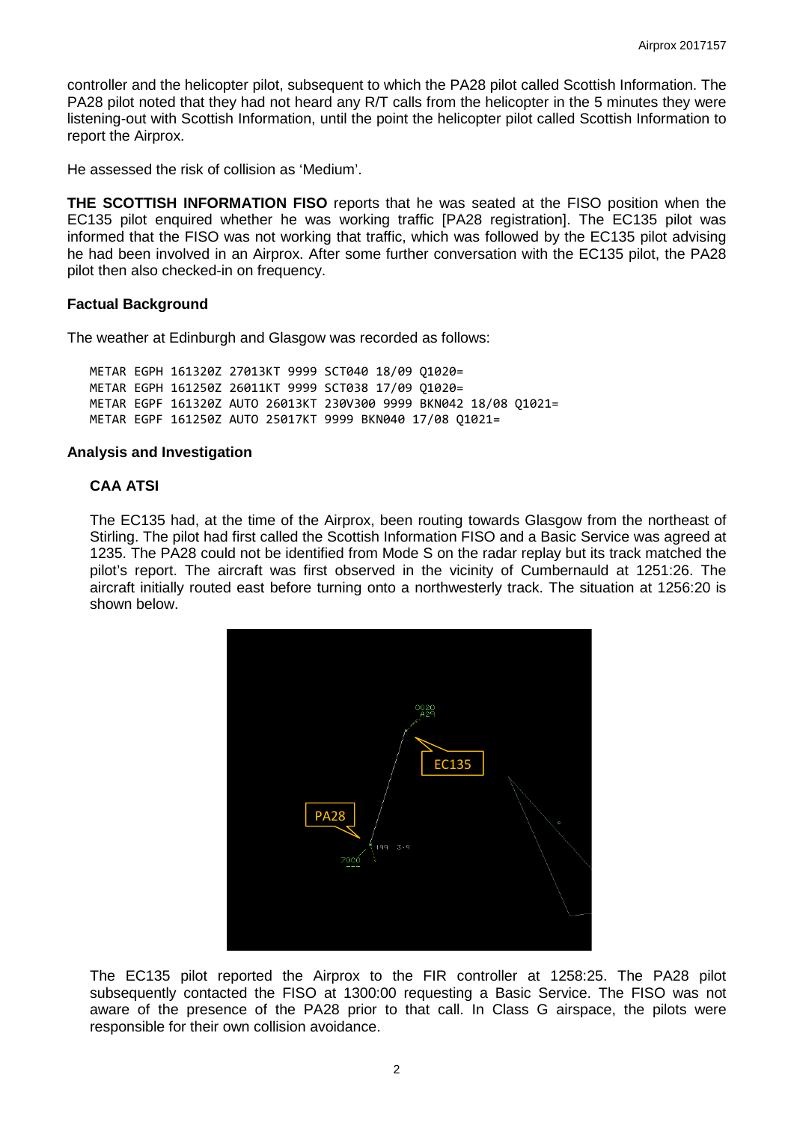controller and the helicopter pilot, subsequent to which the PA28 pilot called Scottish Information. The PA28 pilot noted that they had not heard any R/T calls from the helicopter in the 5 minutes they were listening-out with Scottish Information, until the point the helicopter pilot called Scottish Information to report the Airprox.

He assessed the risk of collision as 'Medium'.

**THE SCOTTISH INFORMATION FISO** reports that he was seated at the FISO position when the EC135 pilot enquired whether he was working traffic [PA28 registration]. The EC135 pilot was informed that the FISO was not working that traffic, which was followed by the EC135 pilot advising he had been involved in an Airprox. After some further conversation with the EC135 pilot, the PA28 pilot then also checked-in on frequency.

#### **Factual Background**

The weather at Edinburgh and Glasgow was recorded as follows:

METAR EGPH 161320Z 27013KT 9999 SCT040 18/09 Q1020= METAR EGPH 161250Z 26011KT 9999 SCT038 17/09 Q1020= METAR EGPF 161320Z AUTO 26013KT 230V300 9999 BKN042 18/08 Q1021= METAR EGPF 161250Z AUTO 25017KT 9999 BKN040 17/08 Q1021=

#### **Analysis and Investigation**

### **CAA ATSI**

The EC135 had, at the time of the Airprox, been routing towards Glasgow from the northeast of Stirling. The pilot had first called the Scottish Information FISO and a Basic Service was agreed at 1235. The PA28 could not be identified from Mode S on the radar replay but its track matched the pilot's report. The aircraft was first observed in the vicinity of Cumbernauld at 1251:26. The aircraft initially routed east before turning onto a northwesterly track. The situation at 1256:20 is shown below.



The EC135 pilot reported the Airprox to the FIR controller at 1258:25. The PA28 pilot subsequently contacted the FISO at 1300:00 requesting a Basic Service. The FISO was not aware of the presence of the PA28 prior to that call. In Class G airspace, the pilots were responsible for their own collision avoidance.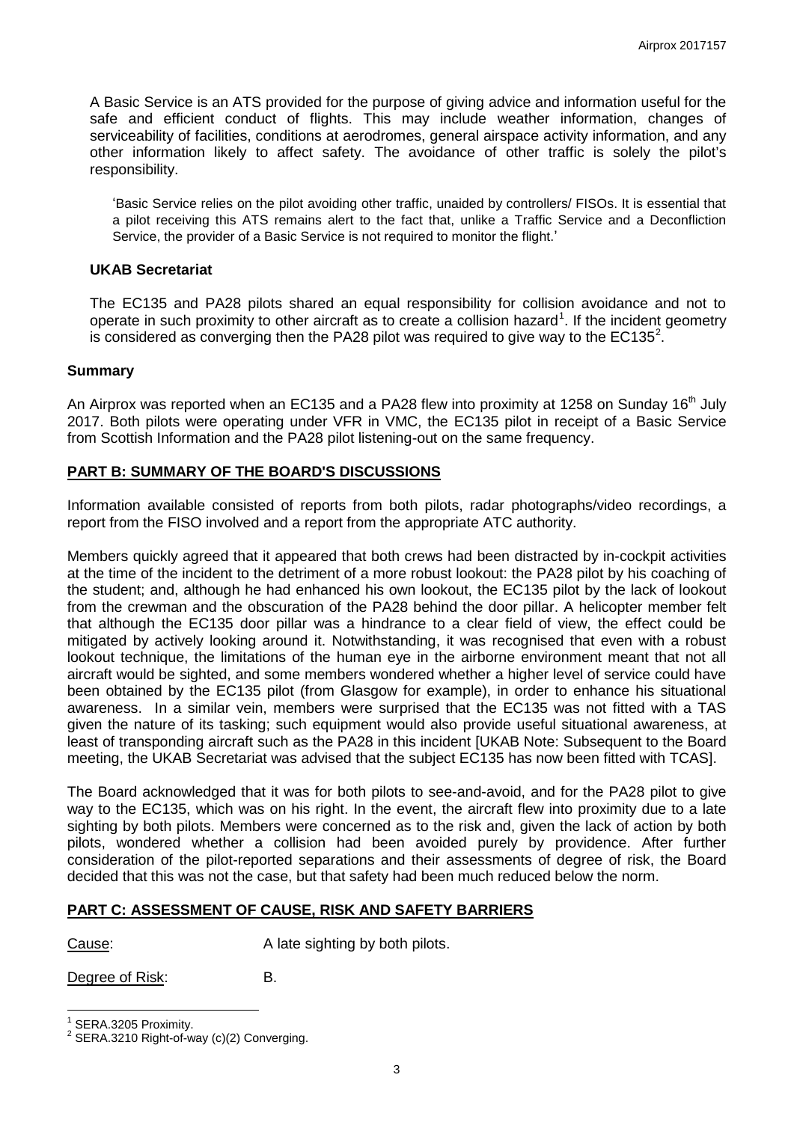A Basic Service is an ATS provided for the purpose of giving advice and information useful for the safe and efficient conduct of flights. This may include weather information, changes of serviceability of facilities, conditions at aerodromes, general airspace activity information, and any other information likely to affect safety. The avoidance of other traffic is solely the pilot's responsibility.

'Basic Service relies on the pilot avoiding other traffic, unaided by controllers/ FISOs. It is essential that a pilot receiving this ATS remains alert to the fact that, unlike a Traffic Service and a Deconfliction Service, the provider of a Basic Service is not required to monitor the flight.'

#### **UKAB Secretariat**

The EC135 and PA28 pilots shared an equal responsibility for collision avoidance and not to operate in such proximity to other aircraft as to create a collision hazard<sup>[1](#page-2-0)</sup>. If the incident geometry is considered as converging then the PA[2](#page-2-1)8 pilot was required to give way to the EC135<sup>2</sup>.

#### **Summary**

An Airprox was reported when an EC135 and a PA28 flew into proximity at 1258 on Sunday 16<sup>th</sup> July 2017. Both pilots were operating under VFR in VMC, the EC135 pilot in receipt of a Basic Service from Scottish Information and the PA28 pilot listening-out on the same frequency.

## **PART B: SUMMARY OF THE BOARD'S DISCUSSIONS**

Information available consisted of reports from both pilots, radar photographs/video recordings, a report from the FISO involved and a report from the appropriate ATC authority.

Members quickly agreed that it appeared that both crews had been distracted by in-cockpit activities at the time of the incident to the detriment of a more robust lookout: the PA28 pilot by his coaching of the student; and, although he had enhanced his own lookout, the EC135 pilot by the lack of lookout from the crewman and the obscuration of the PA28 behind the door pillar. A helicopter member felt that although the EC135 door pillar was a hindrance to a clear field of view, the effect could be mitigated by actively looking around it. Notwithstanding, it was recognised that even with a robust lookout technique, the limitations of the human eye in the airborne environment meant that not all aircraft would be sighted, and some members wondered whether a higher level of service could have been obtained by the EC135 pilot (from Glasgow for example), in order to enhance his situational awareness. In a similar vein, members were surprised that the EC135 was not fitted with a TAS given the nature of its tasking; such equipment would also provide useful situational awareness, at least of transponding aircraft such as the PA28 in this incident [UKAB Note: Subsequent to the Board meeting, the UKAB Secretariat was advised that the subject EC135 has now been fitted with TCAS].

The Board acknowledged that it was for both pilots to see-and-avoid, and for the PA28 pilot to give way to the EC135, which was on his right. In the event, the aircraft flew into proximity due to a late sighting by both pilots. Members were concerned as to the risk and, given the lack of action by both pilots, wondered whether a collision had been avoided purely by providence. After further consideration of the pilot-reported separations and their assessments of degree of risk, the Board decided that this was not the case, but that safety had been much reduced below the norm.

## **PART C: ASSESSMENT OF CAUSE, RISK AND SAFETY BARRIERS**

Cause: A late sighting by both pilots.

Degree of Risk : B.

<span id="page-2-0"></span>SERA.3205 Proximity.

<span id="page-2-1"></span> $2$  SERA.3210 Right-of-way (c)(2) Converging.